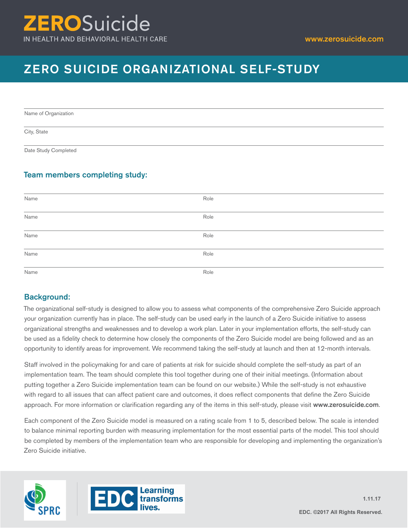# **ERO**Suicide IN HEALTH AND BEHAVIORAL HEALTH CARE

# ZERO SUICIDE ORGANIZATIONAL SELF-STUDY

Name of Organization

City, State

Date Study Completed

# Team members completing study:

| Name                                  | Role |
|---------------------------------------|------|
| Name                                  | Role |
| Name                                  | Role |
| the control of the control of<br>Name | Role |
| Name                                  | Role |

# Background:

The organizational self-study is designed to allow you to assess what components of the comprehensive Zero Suicide approach your organization currently has in place. The self-study can be used early in the launch of a Zero Suicide initiative to assess organizational strengths and weaknesses and to develop a work plan. Later in your implementation efforts, the self-study can be used as a fidelity check to determine how closely the components of the Zero Suicide model are being followed and as an opportunity to identify areas for improvement. We recommend taking the self-study at launch and then at 12-month intervals.

Staff involved in the policymaking for and care of patients at risk for suicide should complete the self-study as part of an implementation team. The team should complete this tool together during one of their initial meetings. (Information about putting together a Zero Suicide implementation team can be found on our website.) While the self-study is not exhaustive with regard to all issues that can affect patient care and outcomes, it does reflect components that define the Zero Suicide approach. For more information or clarification regarding any of the items in this self-study, please visit www.zerosuicide.com.

Each component of the Zero Suicide model is measured on a rating scale from 1 to 5, described below. The scale is intended to balance minimal reporting burden with measuring implementation for the most essential parts of the model. This tool should be completed by members of the implementation team who are responsible for developing and implementing the organization's Zero Suicide initiative.



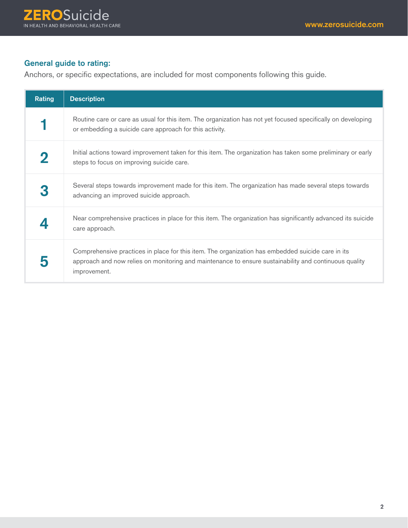# General guide to rating:

Anchors, or specific expectations, are included for most components following this guide.

| Rating | <b>Description</b>                                                                                                                                                                                                         |
|--------|----------------------------------------------------------------------------------------------------------------------------------------------------------------------------------------------------------------------------|
|        | Routine care or care as usual for this item. The organization has not yet focused specifically on developing<br>or embedding a suicide care approach for this activity.                                                    |
|        | Initial actions toward improvement taken for this item. The organization has taken some preliminary or early<br>steps to focus on improving suicide care.                                                                  |
|        | Several steps towards improvement made for this item. The organization has made several steps towards<br>advancing an improved suicide approach.                                                                           |
|        | Near comprehensive practices in place for this item. The organization has significantly advanced its suicide<br>care approach.                                                                                             |
|        | Comprehensive practices in place for this item. The organization has embedded suicide care in its<br>approach and now relies on monitoring and maintenance to ensure sustainability and continuous quality<br>improvement. |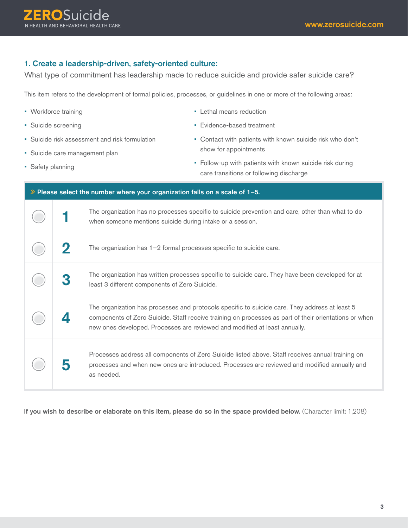# 1. Create a leadership-driven, safety-oriented culture:

What type of commitment has leadership made to reduce suicide and provide safer suicide care?

This item refers to the development of formal policies, processes, or guidelines in one or more of the following areas:

| • Workforce training |                    | • Lethal means reduction                                                     |                                                                                                                                                                                                                                                                                       |
|----------------------|--------------------|------------------------------------------------------------------------------|---------------------------------------------------------------------------------------------------------------------------------------------------------------------------------------------------------------------------------------------------------------------------------------|
| • Suicide screening  |                    |                                                                              | • Evidence-based treatment                                                                                                                                                                                                                                                            |
|                      |                    | • Suicide risk assessment and risk formulation                               | • Contact with patients with known suicide risk who don't                                                                                                                                                                                                                             |
|                      |                    | · Suicide care management plan                                               | show for appointments                                                                                                                                                                                                                                                                 |
| • Safety planning    |                    |                                                                              | • Follow-up with patients with known suicide risk during<br>care transitions or following discharge                                                                                                                                                                                   |
|                      |                    | >> Please select the number where your organization falls on a scale of 1-5. |                                                                                                                                                                                                                                                                                       |
|                      |                    |                                                                              | The organization has no processes specific to suicide prevention and care, other than what to do<br>when someone mentions suicide during intake or a session.                                                                                                                         |
|                      | 2                  |                                                                              | The organization has $1-2$ formal processes specific to suicide care.                                                                                                                                                                                                                 |
|                      |                    | least 3 different components of Zero Suicide.                                | The organization has written processes specific to suicide care. They have been developed for at                                                                                                                                                                                      |
|                      | $\mathbf{\Lambda}$ |                                                                              | The organization has processes and protocols specific to suicide care. They address at least 5<br>components of Zero Suicide. Staff receive training on processes as part of their orientations or when<br>new ones developed. Processes are reviewed and modified at least annually. |
|                      |                    | as needed.                                                                   | Processes address all components of Zero Suicide listed above. Staff receives annual training on<br>processes and when new ones are introduced. Processes are reviewed and modified annually and                                                                                      |

If you wish to describe or elaborate on this item, please do so in the space provided below. (Character limit: 1,208)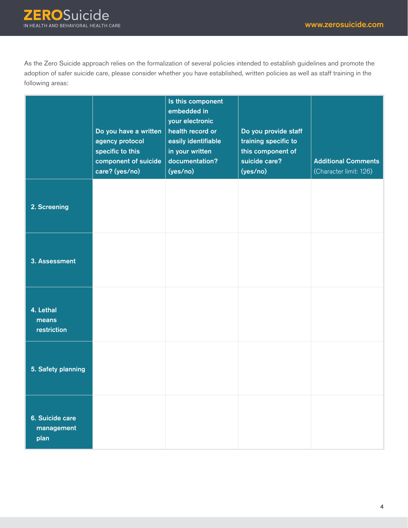As the Zero Suicide approach relies on the formalization of several policies intended to establish guidelines and promote the adoption of safer suicide care, please consider whether you have established, written policies as well as staff training in the following areas:

|                                       | Do you have a written<br>agency protocol<br>specific to this<br>component of suicide<br>care? (yes/no) | Is this component<br>embedded in<br>your electronic<br>health record or<br>easily identifiable<br>in your written<br>documentation?<br>(yes/no) | Do you provide staff<br>training specific to<br>this component of<br>suicide care?<br>(yes/no) | <b>Additional Comments</b><br>(Character limit: 126) |
|---------------------------------------|--------------------------------------------------------------------------------------------------------|-------------------------------------------------------------------------------------------------------------------------------------------------|------------------------------------------------------------------------------------------------|------------------------------------------------------|
| 2. Screening                          |                                                                                                        |                                                                                                                                                 |                                                                                                |                                                      |
| 3. Assessment                         |                                                                                                        |                                                                                                                                                 |                                                                                                |                                                      |
| 4. Lethal<br>means<br>restriction     |                                                                                                        |                                                                                                                                                 |                                                                                                |                                                      |
| 5. Safety planning                    |                                                                                                        |                                                                                                                                                 |                                                                                                |                                                      |
| 6. Suicide care<br>management<br>plan |                                                                                                        |                                                                                                                                                 |                                                                                                |                                                      |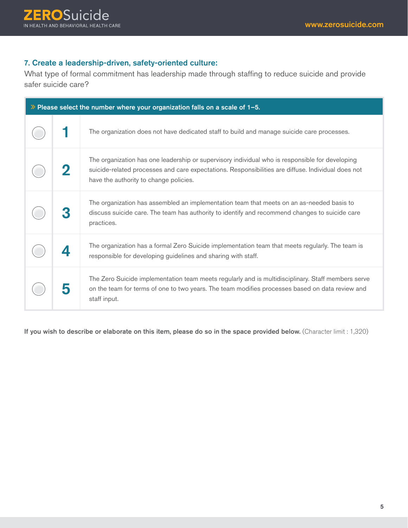# **7**. Create a leadership-driven, safety-oriented culture:

What type of formal commitment has leadership made through staffing to reduce suicide and provide safer suicide care?

| $\gg$ Please select the number where your organization falls on a scale of 1-5. |                                                                                                                                                                                                                                                 |  |
|---------------------------------------------------------------------------------|-------------------------------------------------------------------------------------------------------------------------------------------------------------------------------------------------------------------------------------------------|--|
|                                                                                 | The organization does not have dedicated staff to build and manage suicide care processes.                                                                                                                                                      |  |
|                                                                                 | The organization has one leadership or supervisory individual who is responsible for developing<br>suicide-related processes and care expectations. Responsibilities are diffuse. Individual does not<br>have the authority to change policies. |  |
|                                                                                 | The organization has assembled an implementation team that meets on an as-needed basis to<br>discuss suicide care. The team has authority to identify and recommend changes to suicide care<br>practices.                                       |  |
|                                                                                 | The organization has a formal Zero Suicide implementation team that meets regularly. The team is<br>responsible for developing guidelines and sharing with staff.                                                                               |  |
|                                                                                 | The Zero Suicide implementation team meets regularly and is multidisciplinary. Staff members serve<br>on the team for terms of one to two years. The team modifies processes based on data review and<br>staff input.                           |  |

If you wish to describe or elaborate on this item, please do so in the space provided below. (Character limit : 1,320)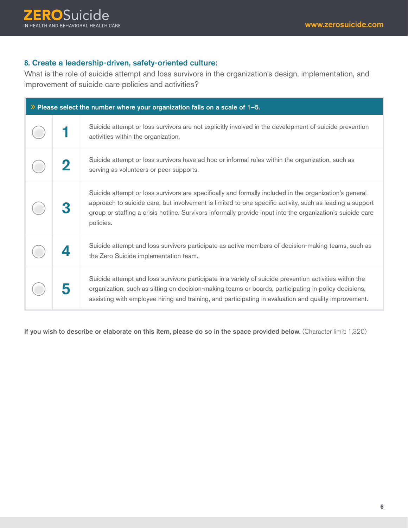# **8**. Create a leadership-driven, safety-oriented culture:

What is the role of suicide attempt and loss survivors in the organization's design, implementation, and improvement of suicide care policies and activities?

| $\gg$ Please select the number where your organization falls on a scale of 1-5. |                                                                                                                                                                                                                                                                                                                                                |  |
|---------------------------------------------------------------------------------|------------------------------------------------------------------------------------------------------------------------------------------------------------------------------------------------------------------------------------------------------------------------------------------------------------------------------------------------|--|
|                                                                                 | Suicide attempt or loss survivors are not explicitly involved in the development of suicide prevention<br>activities within the organization.                                                                                                                                                                                                  |  |
|                                                                                 | Suicide attempt or loss survivors have ad hoc or informal roles within the organization, such as<br>serving as volunteers or peer supports.                                                                                                                                                                                                    |  |
|                                                                                 | Suicide attempt or loss survivors are specifically and formally included in the organization's general<br>approach to suicide care, but involvement is limited to one specific activity, such as leading a support<br>group or staffing a crisis hotline. Survivors informally provide input into the organization's suicide care<br>policies. |  |
|                                                                                 | Suicide attempt and loss survivors participate as active members of decision-making teams, such as<br>the Zero Suicide implementation team.                                                                                                                                                                                                    |  |
|                                                                                 | Suicide attempt and loss survivors participate in a variety of suicide prevention activities within the<br>organization, such as sitting on decision-making teams or boards, participating in policy decisions,<br>assisting with employee hiring and training, and participating in evaluation and quality improvement.                       |  |

If you wish to describe or elaborate on this item, please do so in the space provided below. (Character limit: 1,320)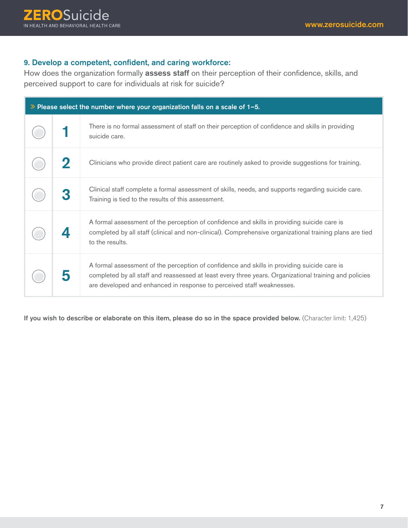# **9**. Develop a competent, confident, and caring workforce:

How does the organization formally assess staff on their perception of their confidence, skills, and perceived support to care for individuals at risk for suicide?

| $\gg$ Please select the number where your organization falls on a scale of 1-5. |                                                                                                                                                                                                                                                                                |  |
|---------------------------------------------------------------------------------|--------------------------------------------------------------------------------------------------------------------------------------------------------------------------------------------------------------------------------------------------------------------------------|--|
|                                                                                 | There is no formal assessment of staff on their perception of confidence and skills in providing<br>suicide care.                                                                                                                                                              |  |
|                                                                                 | Clinicians who provide direct patient care are routinely asked to provide suggestions for training.                                                                                                                                                                            |  |
|                                                                                 | Clinical staff complete a formal assessment of skills, needs, and supports regarding suicide care.<br>Training is tied to the results of this assessment.                                                                                                                      |  |
|                                                                                 | A formal assessment of the perception of confidence and skills in providing suicide care is<br>completed by all staff (clinical and non-clinical). Comprehensive organizational training plans are tied<br>to the results.                                                     |  |
|                                                                                 | A formal assessment of the perception of confidence and skills in providing suicide care is<br>completed by all staff and reassessed at least every three years. Organizational training and policies<br>are developed and enhanced in response to perceived staff weaknesses. |  |

If you wish to describe or elaborate on this item, please do so in the space provided below. (Character limit: 1,425)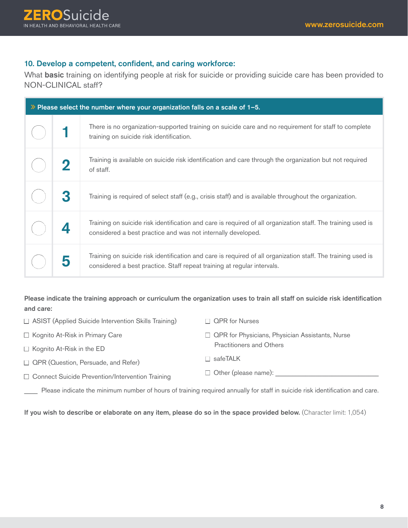#### 10. Develop a competent, confident, and caring workforce:

What **basic** training on identifying people at risk for suicide or providing suicide care has been provided to NON-CLINICAL staff?

| $\gg$ Please select the number where your organization falls on a scale of 1-5. |   |                                                                                                                                                                                         |
|---------------------------------------------------------------------------------|---|-----------------------------------------------------------------------------------------------------------------------------------------------------------------------------------------|
|                                                                                 |   | There is no organization-supported training on suicide care and no requirement for staff to complete<br>training on suicide risk identification.                                        |
|                                                                                 |   | Training is available on suicide risk identification and care through the organization but not required<br>of staff.                                                                    |
|                                                                                 | 3 | Training is required of select staff (e.g., crisis staff) and is available throughout the organization.                                                                                 |
|                                                                                 |   | Training on suicide risk identification and care is required of all organization staff. The training used is<br>considered a best practice and was not internally developed.            |
|                                                                                 |   | Training on suicide risk identification and care is required of all organization staff. The training used is<br>considered a best practice. Staff repeat training at regular intervals. |

Please indicate the training approach or curriculum the organization uses to train all staff on suicide risk identification and care:

| $\Box$ ASIST (Applied Suicide Intervention Skills Training) | $\Box$ QPR for Nurses                                  |
|-------------------------------------------------------------|--------------------------------------------------------|
| $\Box$ Kognito At-Risk in Primary Care                      | $\Box$ QPR for Physicians, Physician Assistants, Nurse |
| $\Box$ Kognito At-Risk in the ED                            | <b>Practitioners and Others</b>                        |
| □ QPR (Question, Persuade, and Refer)                       | $\Box$ safeTALK                                        |
| □ Connect Suicide Prevention/Intervention Training          | $\Box$ Other (please name):                            |

\_\_\_\_ Please indicate the minimum number of hours of training required annually for staff in suicide risk identification and care.

If you wish to describe or elaborate on any item, please do so in the space provided below. (Character limit: 1,054)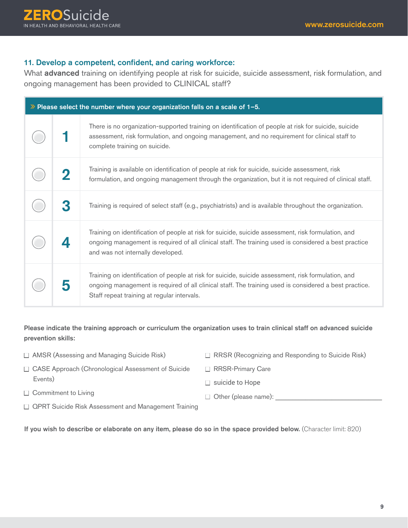#### **11**. Develop a competent, confident, and caring workforce:

What **advanced** training on identifying people at risk for suicide, suicide assessment, risk formulation, and ongoing management has been provided to CLINICAL staff?

| $\gg$ Please select the number where your organization falls on a scale of 1-5. |                                                                                                                                                                                                                                                              |  |
|---------------------------------------------------------------------------------|--------------------------------------------------------------------------------------------------------------------------------------------------------------------------------------------------------------------------------------------------------------|--|
|                                                                                 | There is no organization-supported training on identification of people at risk for suicide, suicide<br>assessment, risk formulation, and ongoing management, and no requirement for clinical staff to<br>complete training on suicide.                      |  |
| $\bf 2$                                                                         | Training is available on identification of people at risk for suicide, suicide assessment, risk<br>formulation, and ongoing management through the organization, but it is not required of clinical staff.                                                   |  |
| 3                                                                               | Training is required of select staff (e.g., psychiatrists) and is available throughout the organization.                                                                                                                                                     |  |
|                                                                                 | Training on identification of people at risk for suicide, suicide assessment, risk formulation, and<br>ongoing management is required of all clinical staff. The training used is considered a best practice<br>and was not internally developed.            |  |
|                                                                                 | Training on identification of people at risk for suicide, suicide assessment, risk formulation, and<br>ongoing management is required of all clinical staff. The training used is considered a best practice.<br>Staff repeat training at regular intervals. |  |

Please indicate the training approach or curriculum the organization uses to train clinical staff on advanced suicide prevention skills:

- □ AMSR (Assessing and Managing Suicide Risk)
- □ RRSR (Recognizing and Responding to Suicide Risk)

n Other (please name): \_\_\_\_\_\_\_\_\_\_\_\_\_\_\_\_\_\_\_\_\_\_\_\_\_\_\_\_\_\_\_\_

- □ CASE Approach (Chronological Assessment of Suicide Events)
- □ RRSR-Primary Care  $\Box$  suicide to Hope

- $\Box$  Commitment to Living
- **QPRT Suicide Risk Assessment and Management Training**

If you wish to describe or elaborate on any item, please do so in the space provided below. (Character limit: 820)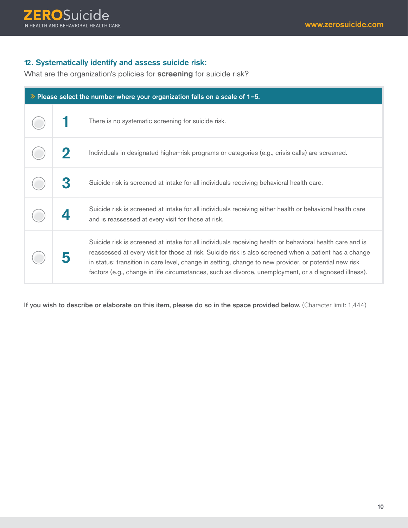#### **12.** Systematically identify and assess suicide risk:

What are the organization's policies for screening for suicide risk?

| $\gg$ Please select the number where your organization falls on a scale of 1-5. |                                                                                                                                                                                                                                                                                                                                                                                                                                     |  |
|---------------------------------------------------------------------------------|-------------------------------------------------------------------------------------------------------------------------------------------------------------------------------------------------------------------------------------------------------------------------------------------------------------------------------------------------------------------------------------------------------------------------------------|--|
|                                                                                 | There is no systematic screening for suicide risk.                                                                                                                                                                                                                                                                                                                                                                                  |  |
|                                                                                 | Individuals in designated higher-risk programs or categories (e.g., crisis calls) are screened.                                                                                                                                                                                                                                                                                                                                     |  |
|                                                                                 | Suicide risk is screened at intake for all individuals receiving behavioral health care.                                                                                                                                                                                                                                                                                                                                            |  |
|                                                                                 | Suicide risk is screened at intake for all individuals receiving either health or behavioral health care<br>and is reassessed at every visit for those at risk.                                                                                                                                                                                                                                                                     |  |
|                                                                                 | Suicide risk is screened at intake for all individuals receiving health or behavioral health care and is<br>reassessed at every visit for those at risk. Suicide risk is also screened when a patient has a change<br>in status: transition in care level, change in setting, change to new provider, or potential new risk<br>factors (e.g., change in life circumstances, such as divorce, unemployment, or a diagnosed illness). |  |

If you wish to describe or elaborate on this item, please do so in the space provided below. (Character limit: 1,444)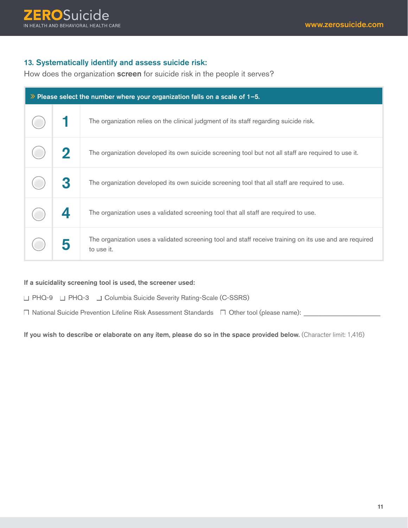#### **13**. Systematically identify and assess suicide risk:

How does the organization screen for suicide risk in the people it serves?

| $\lambda$ Please select the number where your organization falls on a scale of 1-5. |                                                                                                                       |  |
|-------------------------------------------------------------------------------------|-----------------------------------------------------------------------------------------------------------------------|--|
|                                                                                     | The organization relies on the clinical judgment of its staff regarding suicide risk.                                 |  |
|                                                                                     | The organization developed its own suicide screening tool but not all staff are required to use it.                   |  |
|                                                                                     | The organization developed its own suicide screening tool that all staff are required to use.                         |  |
|                                                                                     | The organization uses a validated screening tool that all staff are required to use.                                  |  |
|                                                                                     | The organization uses a validated screening tool and staff receive training on its use and are required<br>to use it. |  |

If a suicidality screening tool is used, the screener used:

□ PHQ-9 □ PHQ-3 □ Columbia Suicide Severity Rating-Scale (C-SSRS)

 $\Box$  National Suicide Prevention Lifeline Risk Assessment Standards  $\Box$  Other tool (please name):

If you wish to describe or elaborate on any item, please do so in the space provided below. (Character limit: 1,416)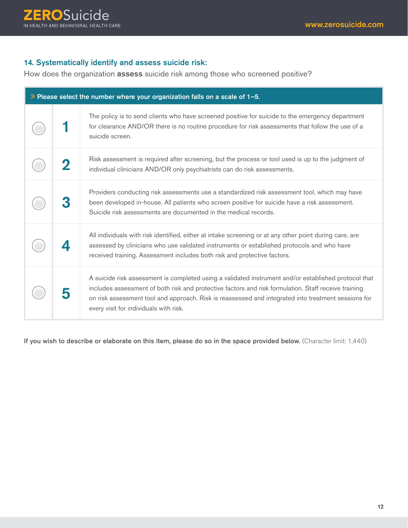### **14**. Systematically identify and assess suicide risk:

How does the organization **assess** suicide risk among those who screened positive?

| $\gg$ Please select the number where your organization falls on a scale of 1-5. |   |                                                                                                                                                                                                                                                                                                                                                               |
|---------------------------------------------------------------------------------|---|---------------------------------------------------------------------------------------------------------------------------------------------------------------------------------------------------------------------------------------------------------------------------------------------------------------------------------------------------------------|
|                                                                                 |   | The policy is to send clients who have screened positive for suicide to the emergency department<br>for clearance AND/OR there is no routine procedure for risk assessments that follow the use of a<br>suicide screen.                                                                                                                                       |
|                                                                                 | 2 | Risk assessment is required after screening, but the process or tool used is up to the judgment of<br>individual clinicians AND/OR only psychiatrists can do risk assessments.                                                                                                                                                                                |
|                                                                                 |   | Providers conducting risk assessments use a standardized risk assessment tool, which may have<br>been developed in-house. All patients who screen positive for suicide have a risk assessment.<br>Suicide risk assessments are documented in the medical records.                                                                                             |
|                                                                                 |   | All individuals with risk identified, either at intake screening or at any other point during care, are<br>assessed by clinicians who use validated instruments or established protocols and who have<br>received training. Assessment includes both risk and protective factors.                                                                             |
|                                                                                 |   | A suicide risk assessment is completed using a validated instrument and/or established protocol that<br>includes assessment of both risk and protective factors and risk formulation. Staff receive training<br>on risk assessment tool and approach. Risk is reassessed and integrated into treatment sessions for<br>every visit for individuals with risk. |

If you wish to describe or elaborate on this item, please do so in the space provided below. (Character limit: 1,440)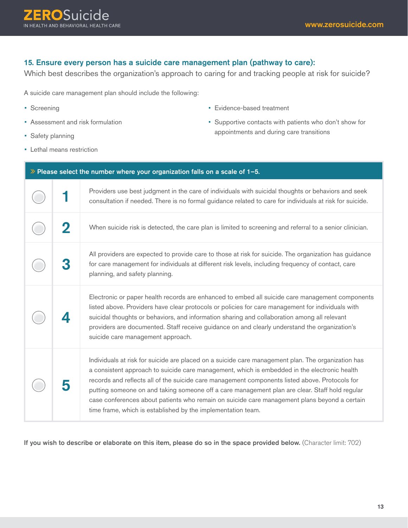# **15**. Ensure every person has a suicide care management plan (pathway to care):

Which best describes the organization's approach to caring for and tracking people at risk for suicide?

A suicide care management plan should include the following:

- Screening
- Assessment and risk formulation
- Safety planning
- Lethal means restriction
- Evidence-based treatment
- Supportive contacts with patients who don't show for appointments and during care transitions

| $\gg$ Please select the number where your organization falls on a scale of 1-5. |   |                                                                                                                                                                                                                                                                                                                                                                                                                                                                                                                                                                        |
|---------------------------------------------------------------------------------|---|------------------------------------------------------------------------------------------------------------------------------------------------------------------------------------------------------------------------------------------------------------------------------------------------------------------------------------------------------------------------------------------------------------------------------------------------------------------------------------------------------------------------------------------------------------------------|
|                                                                                 |   | Providers use best judgment in the care of individuals with suicidal thoughts or behaviors and seek<br>consultation if needed. There is no formal guidance related to care for individuals at risk for suicide.                                                                                                                                                                                                                                                                                                                                                        |
|                                                                                 | 2 | When suicide risk is detected, the care plan is limited to screening and referral to a senior clinician.                                                                                                                                                                                                                                                                                                                                                                                                                                                               |
|                                                                                 |   | All providers are expected to provide care to those at risk for suicide. The organization has guidance<br>for care management for individuals at different risk levels, including frequency of contact, care<br>planning, and safety planning.                                                                                                                                                                                                                                                                                                                         |
|                                                                                 |   | Electronic or paper health records are enhanced to embed all suicide care management components<br>listed above. Providers have clear protocols or policies for care management for individuals with<br>suicidal thoughts or behaviors, and information sharing and collaboration among all relevant<br>providers are documented. Staff receive guidance on and clearly understand the organization's<br>suicide care management approach.                                                                                                                             |
|                                                                                 |   | Individuals at risk for suicide are placed on a suicide care management plan. The organization has<br>a consistent approach to suicide care management, which is embedded in the electronic health<br>records and reflects all of the suicide care management components listed above. Protocols for<br>putting someone on and taking someone off a care management plan are clear. Staff hold regular<br>case conferences about patients who remain on suicide care management plans beyond a certain<br>time frame, which is established by the implementation team. |

If you wish to describe or elaborate on this item, please do so in the space provided below. (Character limit: 702)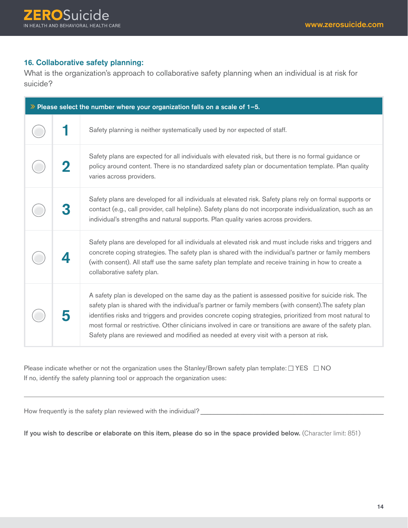# **16**. Collaborative safety planning:

What is the organization's approach to collaborative safety planning when an individual is at risk for suicide?

| $\gg$ Please select the number where your organization falls on a scale of 1-5. |  |                                                                                                                                                                                                                                                                                                                                                                                                                                                                                                                                  |
|---------------------------------------------------------------------------------|--|----------------------------------------------------------------------------------------------------------------------------------------------------------------------------------------------------------------------------------------------------------------------------------------------------------------------------------------------------------------------------------------------------------------------------------------------------------------------------------------------------------------------------------|
|                                                                                 |  | Safety planning is neither systematically used by nor expected of staff.                                                                                                                                                                                                                                                                                                                                                                                                                                                         |
|                                                                                 |  | Safety plans are expected for all individuals with elevated risk, but there is no formal guidance or<br>policy around content. There is no standardized safety plan or documentation template. Plan quality<br>varies across providers.                                                                                                                                                                                                                                                                                          |
|                                                                                 |  | Safety plans are developed for all individuals at elevated risk. Safety plans rely on formal supports or<br>contact (e.g., call provider, call helpline). Safety plans do not incorporate individualization, such as an<br>individual's strengths and natural supports. Plan quality varies across providers.                                                                                                                                                                                                                    |
|                                                                                 |  | Safety plans are developed for all individuals at elevated risk and must include risks and triggers and<br>concrete coping strategies. The safety plan is shared with the individual's partner or family members<br>(with consent). All staff use the same safety plan template and receive training in how to create a<br>collaborative safety plan.                                                                                                                                                                            |
|                                                                                 |  | A safety plan is developed on the same day as the patient is assessed positive for suicide risk. The<br>safety plan is shared with the individual's partner or family members (with consent). The safety plan<br>identifies risks and triggers and provides concrete coping strategies, prioritized from most natural to<br>most formal or restrictive. Other clinicians involved in care or transitions are aware of the safety plan.<br>Safety plans are reviewed and modified as needed at every visit with a person at risk. |

Please indicate whether or not the organization uses the Stanley/Brown safety plan template:  $\Box$  YES  $\Box$  NO If no, identify the safety planning tool or approach the organization uses:

How frequently is the safety plan reviewed with the individual?

If you wish to describe or elaborate on this item, please do so in the space provided below. (Character limit: 851)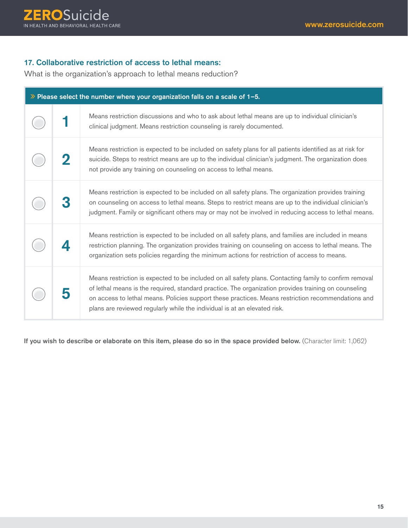# **17**. Collaborative restriction of access to lethal means:

What is the organization's approach to lethal means reduction?

| $\gg$ Please select the number where your organization falls on a scale of 1-5. |  |                                                                                                                                                                                                                                                                                                                                                                                                   |
|---------------------------------------------------------------------------------|--|---------------------------------------------------------------------------------------------------------------------------------------------------------------------------------------------------------------------------------------------------------------------------------------------------------------------------------------------------------------------------------------------------|
|                                                                                 |  | Means restriction discussions and who to ask about lethal means are up to individual clinician's<br>clinical judgment. Means restriction counseling is rarely documented.                                                                                                                                                                                                                         |
|                                                                                 |  | Means restriction is expected to be included on safety plans for all patients identified as at risk for<br>suicide. Steps to restrict means are up to the individual clinician's judgment. The organization does<br>not provide any training on counseling on access to lethal means.                                                                                                             |
|                                                                                 |  | Means restriction is expected to be included on all safety plans. The organization provides training<br>on counseling on access to lethal means. Steps to restrict means are up to the individual clinician's<br>judgment. Family or significant others may or may not be involved in reducing access to lethal means.                                                                            |
|                                                                                 |  | Means restriction is expected to be included on all safety plans, and families are included in means<br>restriction planning. The organization provides training on counseling on access to lethal means. The<br>organization sets policies regarding the minimum actions for restriction of access to means.                                                                                     |
|                                                                                 |  | Means restriction is expected to be included on all safety plans. Contacting family to confirm removal<br>of lethal means is the required, standard practice. The organization provides training on counseling<br>on access to lethal means. Policies support these practices. Means restriction recommendations and<br>plans are reviewed regularly while the individual is at an elevated risk. |

If you wish to describe or elaborate on this item, please do so in the space provided below. (Character limit: 1,062)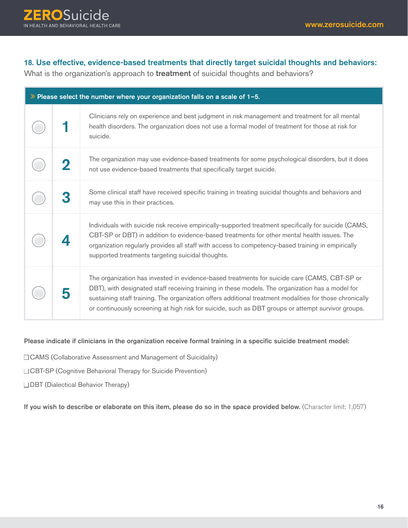# **18**. Use effective, evidence-based treatments that directly target suicidal thoughts and behaviors:

What is the organization's approach to treatment of suicidal thoughts and behaviors?

| $\gg$ Please select the number where your organization falls on a scale of 1-5. |   |                                                                                                                                                                                                                                                                                                                                                                                                                    |
|---------------------------------------------------------------------------------|---|--------------------------------------------------------------------------------------------------------------------------------------------------------------------------------------------------------------------------------------------------------------------------------------------------------------------------------------------------------------------------------------------------------------------|
|                                                                                 |   | Clinicians rely on experience and best judgment in risk management and treatment for all mental<br>health disorders. The organization does not use a formal model of treatment for those at risk for<br>suicide.                                                                                                                                                                                                   |
|                                                                                 | 2 | The organization may use evidence-based treatments for some psychological disorders, but it does<br>not use evidence-based treatments that specifically target suicide.                                                                                                                                                                                                                                            |
|                                                                                 |   | Some clinical staff have received specific training in treating suicidal thoughts and behaviors and<br>may use this in their practices.                                                                                                                                                                                                                                                                            |
|                                                                                 |   | Individuals with suicide risk receive empirically-supported treatment specifically for suicide (CAMS,<br>CBT-SP or DBT) in addition to evidence-based treatments for other mental health issues. The<br>organization regularly provides all staff with access to competency-based training in empirically<br>supported treatments targeting suicidal thoughts.                                                     |
|                                                                                 |   | The organization has invested in evidence-based treatments for suicide care (CAMS, CBT-SP or<br>DBT), with designated staff receiving training in these models. The organization has a model for<br>sustaining staff training. The organization offers additional treatment modalities for those chronically<br>or continuously screening at high risk for suicide, such as DBT groups or attempt survivor groups. |

#### Please indicate if clinicians in the organization receive formal training in a specific suicide treatment model:

- □ CAMS (Collaborative Assessment and Management of Suicidality)
- □ CBT-SP (Cognitive Behavioral Therapy for Suicide Prevention)
- **DBT** (Dialectical Behavior Therapy)

If you wish to describe or elaborate on this item, please do so in the space provided below. (Character limit: 1,057)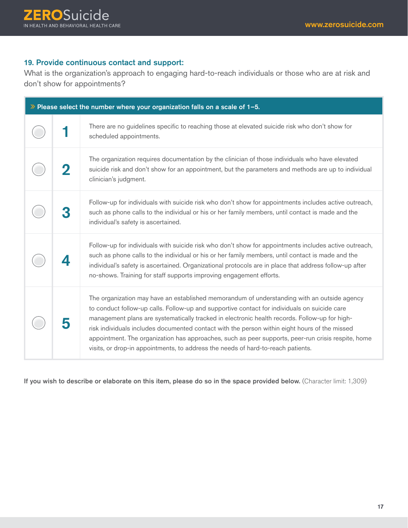# **19**. Provide continuous contact and support:

What is the organization's approach to engaging hard-to-reach individuals or those who are at risk and don't show for appointments?

| $\gg$ Please select the number where your organization falls on a scale of 1-5. |  |                                                                                                                                                                                                                                                                                                                                                                                                                                                                                                                                                                                         |
|---------------------------------------------------------------------------------|--|-----------------------------------------------------------------------------------------------------------------------------------------------------------------------------------------------------------------------------------------------------------------------------------------------------------------------------------------------------------------------------------------------------------------------------------------------------------------------------------------------------------------------------------------------------------------------------------------|
|                                                                                 |  | There are no guidelines specific to reaching those at elevated suicide risk who don't show for<br>scheduled appointments.                                                                                                                                                                                                                                                                                                                                                                                                                                                               |
|                                                                                 |  | The organization requires documentation by the clinician of those individuals who have elevated<br>suicide risk and don't show for an appointment, but the parameters and methods are up to individual<br>clinician's judgment.                                                                                                                                                                                                                                                                                                                                                         |
|                                                                                 |  | Follow-up for individuals with suicide risk who don't show for appointments includes active outreach,<br>such as phone calls to the individual or his or her family members, until contact is made and the<br>individual's safety is ascertained.                                                                                                                                                                                                                                                                                                                                       |
|                                                                                 |  | Follow-up for individuals with suicide risk who don't show for appointments includes active outreach,<br>such as phone calls to the individual or his or her family members, until contact is made and the<br>individual's safety is ascertained. Organizational protocols are in place that address follow-up after<br>no-shows. Training for staff supports improving engagement efforts.                                                                                                                                                                                             |
|                                                                                 |  | The organization may have an established memorandum of understanding with an outside agency<br>to conduct follow-up calls. Follow-up and supportive contact for individuals on suicide care<br>management plans are systematically tracked in electronic health records. Follow-up for high-<br>risk individuals includes documented contact with the person within eight hours of the missed<br>appointment. The organization has approaches, such as peer supports, peer-run crisis respite, home<br>visits, or drop-in appointments, to address the needs of hard-to-reach patients. |

If you wish to describe or elaborate on this item, please do so in the space provided below. (Character limit: 1,309)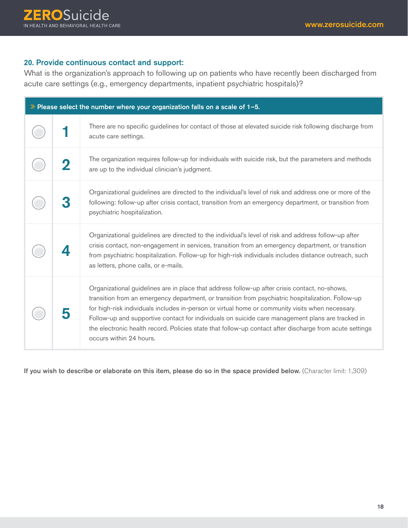# **20**. Provide continuous contact and support:

What is the organization's approach to following up on patients who have recently been discharged from acute care settings (e.g., emergency departments, inpatient psychiatric hospitals)?

| $\gg$ Please select the number where your organization falls on a scale of 1-5. |  |                                                                                                                                                                                                                                                                                                                                                                                                                                                                                                                                                   |
|---------------------------------------------------------------------------------|--|---------------------------------------------------------------------------------------------------------------------------------------------------------------------------------------------------------------------------------------------------------------------------------------------------------------------------------------------------------------------------------------------------------------------------------------------------------------------------------------------------------------------------------------------------|
|                                                                                 |  | There are no specific guidelines for contact of those at elevated suicide risk following discharge from<br>acute care settings.                                                                                                                                                                                                                                                                                                                                                                                                                   |
|                                                                                 |  | The organization requires follow-up for individuals with suicide risk, but the parameters and methods<br>are up to the individual clinician's judgment.                                                                                                                                                                                                                                                                                                                                                                                           |
|                                                                                 |  | Organizational guidelines are directed to the individual's level of risk and address one or more of the<br>following: follow-up after crisis contact, transition from an emergency department, or transition from<br>psychiatric hospitalization.                                                                                                                                                                                                                                                                                                 |
|                                                                                 |  | Organizational guidelines are directed to the individual's level of risk and address follow-up after<br>crisis contact, non-engagement in services, transition from an emergency department, or transition<br>from psychiatric hospitalization. Follow-up for high-risk individuals includes distance outreach, such<br>as letters, phone calls, or e-mails.                                                                                                                                                                                      |
|                                                                                 |  | Organizational guidelines are in place that address follow-up after crisis contact, no-shows,<br>transition from an emergency department, or transition from psychiatric hospitalization. Follow-up<br>for high-risk individuals includes in-person or virtual home or community visits when necessary.<br>Follow-up and supportive contact for individuals on suicide care management plans are tracked in<br>the electronic health record. Policies state that follow-up contact after discharge from acute settings<br>occurs within 24 hours. |

If you wish to describe or elaborate on this item, please do so in the space provided below. (Character limit: 1,309)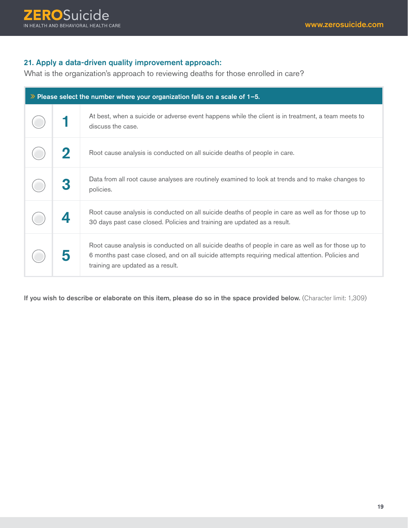# **21**. Apply a data-driven quality improvement approach:

What is the organization's approach to reviewing deaths for those enrolled in care?

| $\gg$ Please select the number where your organization falls on a scale of 1-5. |  |                                                                                                                                                                                                                                              |
|---------------------------------------------------------------------------------|--|----------------------------------------------------------------------------------------------------------------------------------------------------------------------------------------------------------------------------------------------|
|                                                                                 |  | At best, when a suicide or adverse event happens while the client is in treatment, a team meets to<br>discuss the case.                                                                                                                      |
|                                                                                 |  | Root cause analysis is conducted on all suicide deaths of people in care.                                                                                                                                                                    |
|                                                                                 |  | Data from all root cause analyses are routinely examined to look at trends and to make changes to<br>policies.                                                                                                                               |
|                                                                                 |  | Root cause analysis is conducted on all suicide deaths of people in care as well as for those up to<br>30 days past case closed. Policies and training are updated as a result.                                                              |
|                                                                                 |  | Root cause analysis is conducted on all suicide deaths of people in care as well as for those up to<br>6 months past case closed, and on all suicide attempts requiring medical attention. Policies and<br>training are updated as a result. |

If you wish to describe or elaborate on this item, please do so in the space provided below. (Character limit: 1,309)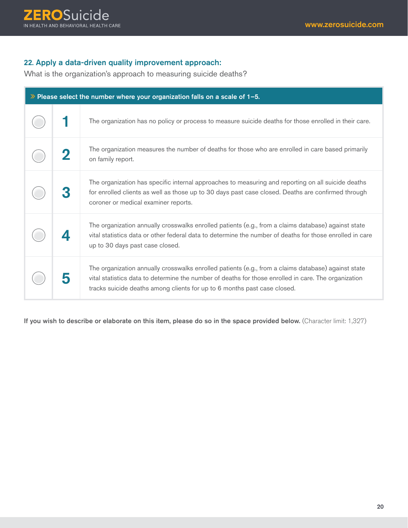#### **22**. Apply a data-driven quality improvement approach:

What is the organization's approach to measuring suicide deaths?

| $\gg$ Please select the number where your organization falls on a scale of 1-5. |  |                                                                                                                                                                                                                                                                                         |
|---------------------------------------------------------------------------------|--|-----------------------------------------------------------------------------------------------------------------------------------------------------------------------------------------------------------------------------------------------------------------------------------------|
|                                                                                 |  | The organization has no policy or process to measure suicide deaths for those enrolled in their care.                                                                                                                                                                                   |
|                                                                                 |  | The organization measures the number of deaths for those who are enrolled in care based primarily<br>on family report.                                                                                                                                                                  |
|                                                                                 |  | The organization has specific internal approaches to measuring and reporting on all suicide deaths<br>for enrolled clients as well as those up to 30 days past case closed. Deaths are confirmed through<br>coroner or medical examiner reports.                                        |
|                                                                                 |  | The organization annually crosswalks enrolled patients (e.g., from a claims database) against state<br>vital statistics data or other federal data to determine the number of deaths for those enrolled in care<br>up to 30 days past case closed.                                      |
|                                                                                 |  | The organization annually crosswalks enrolled patients (e.g., from a claims database) against state<br>vital statistics data to determine the number of deaths for those enrolled in care. The organization<br>tracks suicide deaths among clients for up to 6 months past case closed. |

If you wish to describe or elaborate on this item, please do so in the space provided below. (Character limit: 1,327)